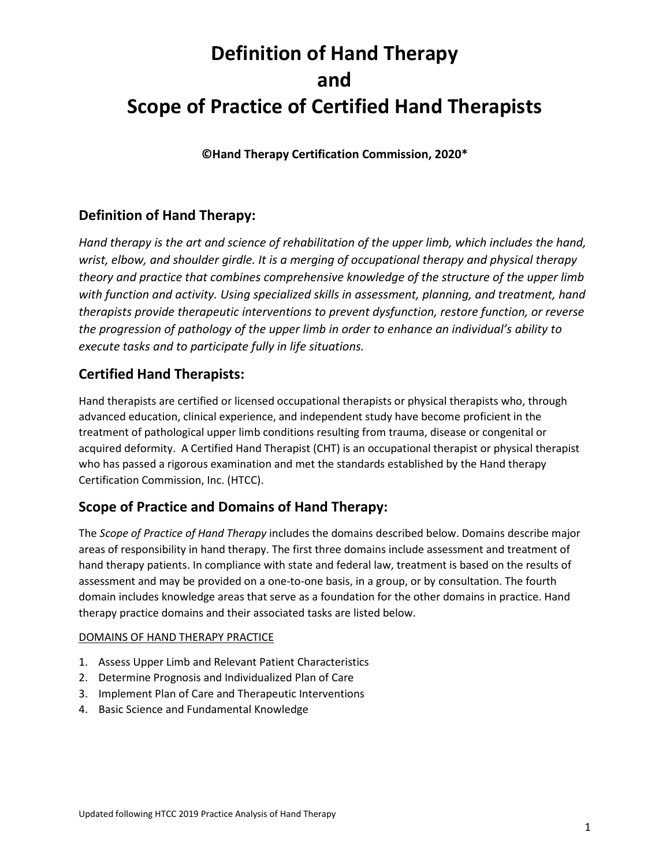**©Hand Therapy Certification Commission, 2020\***

### **Definition of Hand Therapy:**

*Hand therapy is the art and science of rehabilitation of the upper limb, which includes the hand, wrist, elbow, and shoulder girdle. It is a merging of occupational therapy and physical therapy theory and practice that combines comprehensive knowledge of the structure of the upper limb with function and activity. Using specialized skills in assessment, planning, and treatment, hand therapists provide therapeutic interventions to prevent dysfunction, restore function, or reverse the progression of pathology of the upper limb in order to enhance an individual's ability to execute tasks and to participate fully in life situations.*

### **Certified Hand Therapists:**

Hand therapists are certified or licensed occupational therapists or physical therapists who, through advanced education, clinical experience, and independent study have become proficient in the treatment of pathological upper limb conditions resulting from trauma, disease or congenital or acquired deformity. A Certified Hand Therapist (CHT) is an occupational therapist or physical therapist who has passed a rigorous examination and met the standards established by the Hand therapy Certification Commission, Inc. (HTCC).

### **Scope of Practice and Domains of Hand Therapy:**

The *Scope of Practice of Hand Therapy* includes the domains described below. Domains describe major areas of responsibility in hand therapy. The first three domains include assessment and treatment of hand therapy patients. In compliance with state and federal law, treatment is based on the results of assessment and may be provided on a one-to-one basis, in a group, or by consultation. The fourth domain includes knowledge areas that serve as a foundation for the other domains in practice. Hand therapy practice domains and their associated tasks are listed below.

#### DOMAINS OF HAND THERAPY PRACTICE

- 1. Assess Upper Limb and Relevant Patient Characteristics
- 2. Determine Prognosis and Individualized Plan of Care
- 3. Implement Plan of Care and Therapeutic Interventions
- 4. Basic Science and Fundamental Knowledge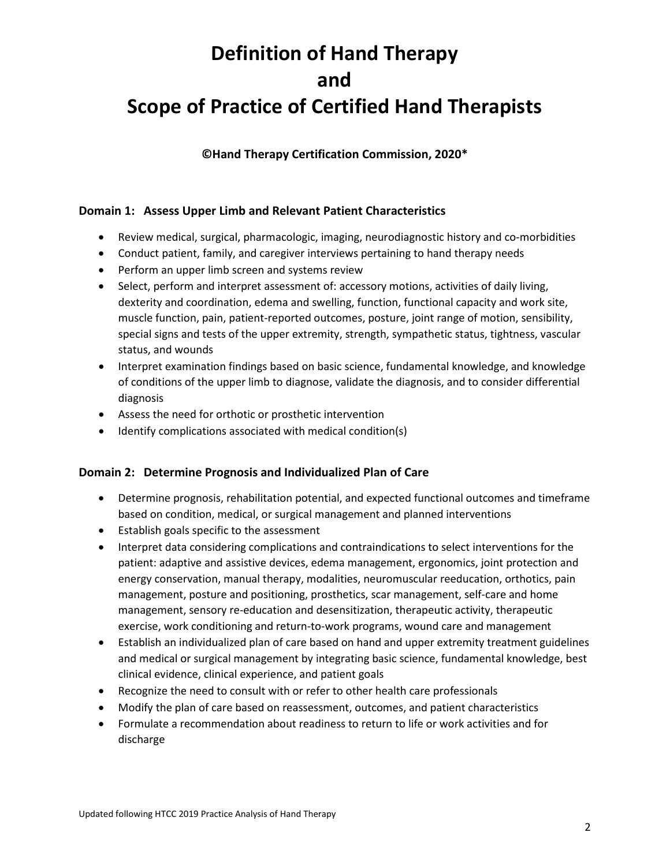**©Hand Therapy Certification Commission, 2020\***

#### **Domain 1: Assess Upper Limb and Relevant Patient Characteristics**

- Review medical, surgical, pharmacologic, imaging, neurodiagnostic history and co-morbidities
- Conduct patient, family, and caregiver interviews pertaining to hand therapy needs
- Perform an upper limb screen and systems review
- Select, perform and interpret assessment of: accessory motions, activities of daily living, dexterity and coordination, edema and swelling, function, functional capacity and work site, muscle function, pain, patient-reported outcomes, posture, joint range of motion, sensibility, special signs and tests of the upper extremity, strength, sympathetic status, tightness, vascular status, and wounds
- Interpret examination findings based on basic science, fundamental knowledge, and knowledge of conditions of the upper limb to diagnose, validate the diagnosis, and to consider differential diagnosis
- Assess the need for orthotic or prosthetic intervention
- Identify complications associated with medical condition(s)

#### **Domain 2: Determine Prognosis and Individualized Plan of Care**

- Determine prognosis, rehabilitation potential, and expected functional outcomes and timeframe based on condition, medical, or surgical management and planned interventions
- Establish goals specific to the assessment
- Interpret data considering complications and contraindications to select interventions for the patient: adaptive and assistive devices, edema management, ergonomics, joint protection and energy conservation, manual therapy, modalities, neuromuscular reeducation, orthotics, pain management, posture and positioning, prosthetics, scar management, self-care and home management, sensory re-education and desensitization, therapeutic activity, therapeutic exercise, work conditioning and return-to-work programs, wound care and management
- Establish an individualized plan of care based on hand and upper extremity treatment guidelines and medical or surgical management by integrating basic science, fundamental knowledge, best clinical evidence, clinical experience, and patient goals
- Recognize the need to consult with or refer to other health care professionals
- Modify the plan of care based on reassessment, outcomes, and patient characteristics
- Formulate a recommendation about readiness to return to life or work activities and for discharge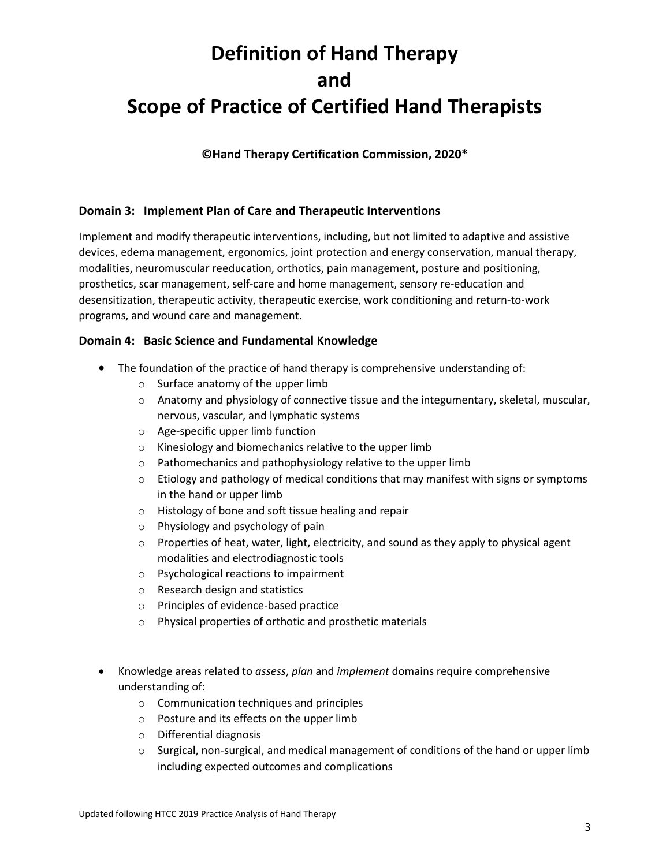**©Hand Therapy Certification Commission, 2020\***

#### **Domain 3: Implement Plan of Care and Therapeutic Interventions**

Implement and modify therapeutic interventions, including, but not limited to adaptive and assistive devices, edema management, ergonomics, joint protection and energy conservation, manual therapy, modalities, neuromuscular reeducation, orthotics, pain management, posture and positioning, prosthetics, scar management, self-care and home management, sensory re-education and desensitization, therapeutic activity, therapeutic exercise, work conditioning and return-to-work programs, and wound care and management.

#### **Domain 4: Basic Science and Fundamental Knowledge**

- The foundation of the practice of hand therapy is comprehensive understanding of:
	- o Surface anatomy of the upper limb
	- o Anatomy and physiology of connective tissue and the integumentary, skeletal, muscular, nervous, vascular, and lymphatic systems
	- o Age-specific upper limb function
	- o Kinesiology and biomechanics relative to the upper limb
	- o Pathomechanics and pathophysiology relative to the upper limb
	- $\circ$  Etiology and pathology of medical conditions that may manifest with signs or symptoms in the hand or upper limb
	- o Histology of bone and soft tissue healing and repair
	- o Physiology and psychology of pain
	- $\circ$  Properties of heat, water, light, electricity, and sound as they apply to physical agent modalities and electrodiagnostic tools
	- o Psychological reactions to impairment
	- o Research design and statistics
	- o Principles of evidence-based practice
	- o Physical properties of orthotic and prosthetic materials
- Knowledge areas related to *assess*, *plan* and *implement* domains require comprehensive understanding of:
	- o Communication techniques and principles
	- o Posture and its effects on the upper limb
	- o Differential diagnosis
	- $\circ$  Surgical, non-surgical, and medical management of conditions of the hand or upper limb including expected outcomes and complications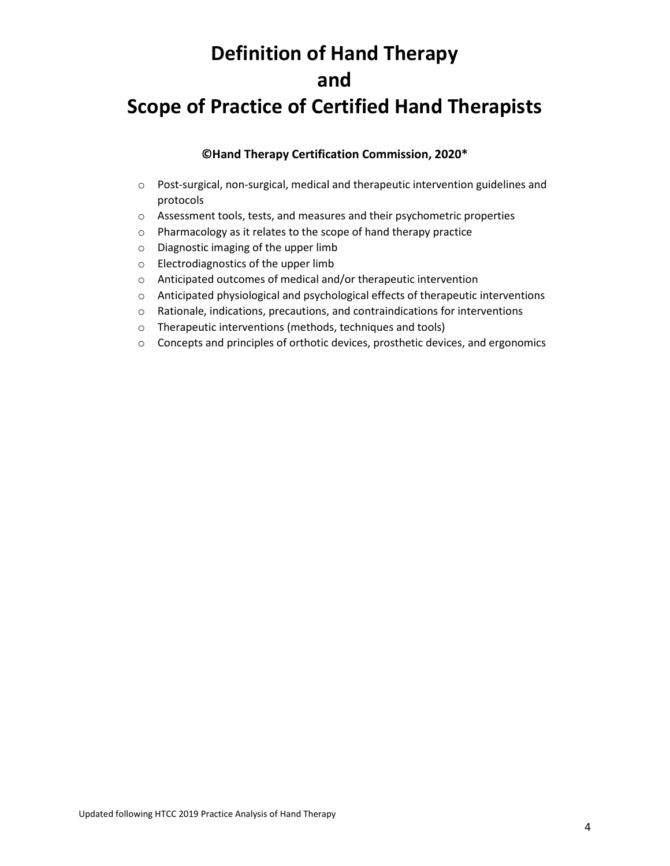# **Definition of Hand Therapy and**

### **Scope of Practice of Certified Hand Therapists**

#### **©Hand Therapy Certification Commission, 2020\***

- o Post-surgical, non-surgical, medical and therapeutic intervention guidelines and protocols
- o Assessment tools, tests, and measures and their psychometric properties
- o Pharmacology as it relates to the scope of hand therapy practice
- o Diagnostic imaging of the upper limb
- o Electrodiagnostics of the upper limb
- o Anticipated outcomes of medical and/or therapeutic intervention
- o Anticipated physiological and psychological effects of therapeutic interventions
- o Rationale, indications, precautions, and contraindications for interventions
- o Therapeutic interventions (methods, techniques and tools)
- o Concepts and principles of orthotic devices, prosthetic devices, and ergonomics